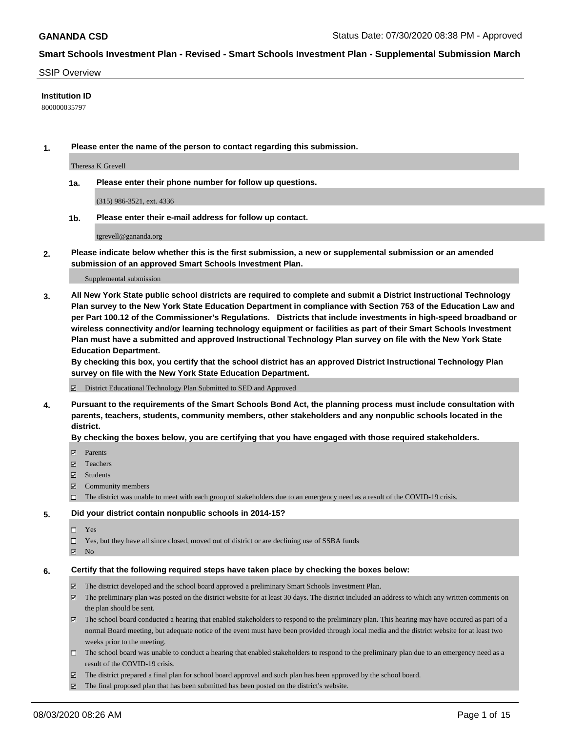### SSIP Overview

## **Institution ID**

800000035797

**1. Please enter the name of the person to contact regarding this submission.**

Theresa K Grevell

**1a. Please enter their phone number for follow up questions.**

(315) 986-3521, ext. 4336

**1b. Please enter their e-mail address for follow up contact.**

tgrevell@gananda.org

**2. Please indicate below whether this is the first submission, a new or supplemental submission or an amended submission of an approved Smart Schools Investment Plan.**

#### Supplemental submission

**3. All New York State public school districts are required to complete and submit a District Instructional Technology Plan survey to the New York State Education Department in compliance with Section 753 of the Education Law and per Part 100.12 of the Commissioner's Regulations. Districts that include investments in high-speed broadband or wireless connectivity and/or learning technology equipment or facilities as part of their Smart Schools Investment Plan must have a submitted and approved Instructional Technology Plan survey on file with the New York State Education Department.** 

**By checking this box, you certify that the school district has an approved District Instructional Technology Plan survey on file with the New York State Education Department.**

District Educational Technology Plan Submitted to SED and Approved

**4. Pursuant to the requirements of the Smart Schools Bond Act, the planning process must include consultation with parents, teachers, students, community members, other stakeholders and any nonpublic schools located in the district.** 

### **By checking the boxes below, you are certifying that you have engaged with those required stakeholders.**

- **Parents**
- Teachers
- Students
- $\boxtimes$  Community members
- The district was unable to meet with each group of stakeholders due to an emergency need as a result of the COVID-19 crisis.

### **5. Did your district contain nonpublic schools in 2014-15?**

- $\neg$  Yes
- Yes, but they have all since closed, moved out of district or are declining use of SSBA funds
- **Z** No

### **6. Certify that the following required steps have taken place by checking the boxes below:**

- The district developed and the school board approved a preliminary Smart Schools Investment Plan.
- $\boxtimes$  The preliminary plan was posted on the district website for at least 30 days. The district included an address to which any written comments on the plan should be sent.
- $\boxtimes$  The school board conducted a hearing that enabled stakeholders to respond to the preliminary plan. This hearing may have occured as part of a normal Board meeting, but adequate notice of the event must have been provided through local media and the district website for at least two weeks prior to the meeting.
- The school board was unable to conduct a hearing that enabled stakeholders to respond to the preliminary plan due to an emergency need as a result of the COVID-19 crisis.
- The district prepared a final plan for school board approval and such plan has been approved by the school board.
- $\boxtimes$  The final proposed plan that has been submitted has been posted on the district's website.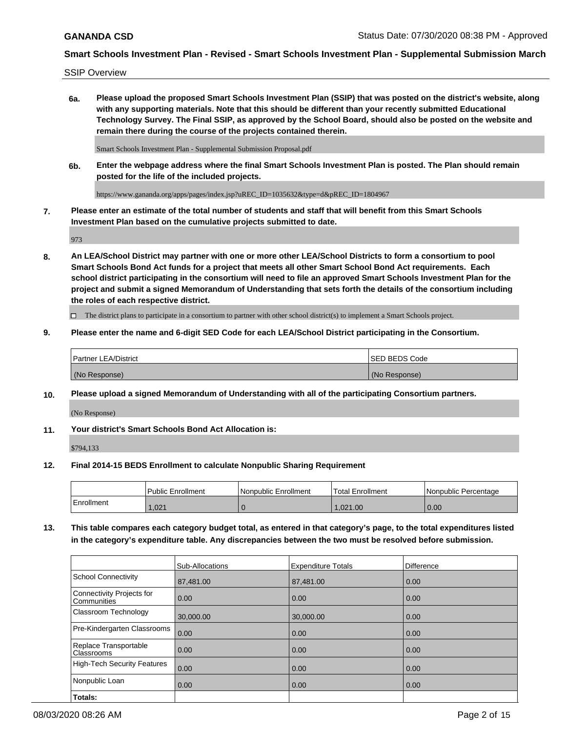SSIP Overview

**6a. Please upload the proposed Smart Schools Investment Plan (SSIP) that was posted on the district's website, along with any supporting materials. Note that this should be different than your recently submitted Educational Technology Survey. The Final SSIP, as approved by the School Board, should also be posted on the website and remain there during the course of the projects contained therein.**

Smart Schools Investment Plan - Supplemental Submission Proposal.pdf

**6b. Enter the webpage address where the final Smart Schools Investment Plan is posted. The Plan should remain posted for the life of the included projects.**

https://www.gananda.org/apps/pages/index.jsp?uREC\_ID=1035632&type=d&pREC\_ID=1804967

**7. Please enter an estimate of the total number of students and staff that will benefit from this Smart Schools Investment Plan based on the cumulative projects submitted to date.**

973

**8. An LEA/School District may partner with one or more other LEA/School Districts to form a consortium to pool Smart Schools Bond Act funds for a project that meets all other Smart School Bond Act requirements. Each school district participating in the consortium will need to file an approved Smart Schools Investment Plan for the project and submit a signed Memorandum of Understanding that sets forth the details of the consortium including the roles of each respective district.**

 $\Box$  The district plans to participate in a consortium to partner with other school district(s) to implement a Smart Schools project.

## **9. Please enter the name and 6-digit SED Code for each LEA/School District participating in the Consortium.**

| Partner LEA/District | <b>ISED BEDS Code</b> |
|----------------------|-----------------------|
| (No Response)        | (No Response)         |

## **10. Please upload a signed Memorandum of Understanding with all of the participating Consortium partners.**

(No Response)

**11. Your district's Smart Schools Bond Act Allocation is:**

\$794,133

### **12. Final 2014-15 BEDS Enrollment to calculate Nonpublic Sharing Requirement**

|            | l Public Enrollment | Nonpublic Enrollment | Total Enrollment | Nonpublic Percentage |
|------------|---------------------|----------------------|------------------|----------------------|
| Enrollment | .021                |                      | .021.00          | 0.00                 |

**13. This table compares each category budget total, as entered in that category's page, to the total expenditures listed in the category's expenditure table. Any discrepancies between the two must be resolved before submission.**

|                                          | Sub-Allocations | <b>Expenditure Totals</b> | <b>Difference</b> |
|------------------------------------------|-----------------|---------------------------|-------------------|
| <b>School Connectivity</b>               | 87,481.00       | 87,481.00                 | 0.00              |
| Connectivity Projects for<br>Communities | 0.00            | 0.00                      | 0.00              |
| Classroom Technology                     | 30,000.00       | 30,000,00                 | 0.00              |
| Pre-Kindergarten Classrooms              | 0.00            | 0.00                      | 0.00              |
| Replace Transportable<br>Classrooms      | 0.00            | 0.00                      | 0.00              |
| High-Tech Security Features              | 0.00            | 0.00                      | 0.00              |
| Nonpublic Loan                           | 0.00            | 0.00                      | 0.00              |
| Totals:                                  |                 |                           |                   |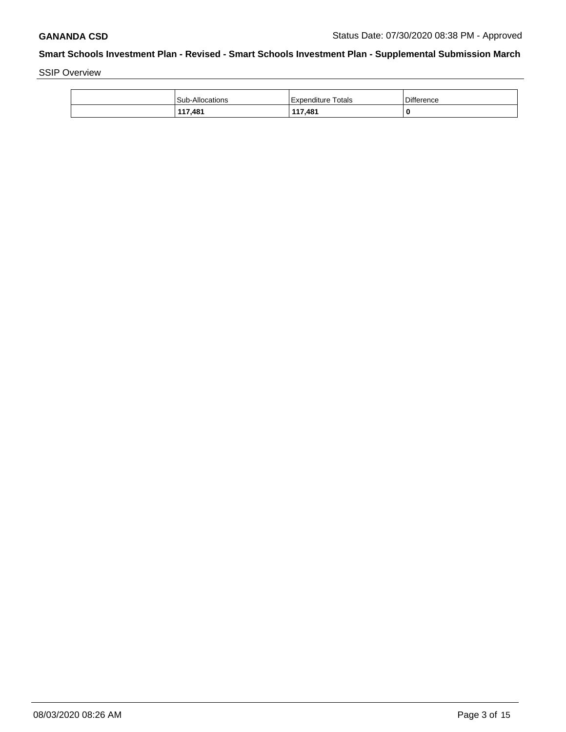SSIP Overview

| <b>Sub-Allocations</b> | <b>Expenditure Totals</b> | Difference |
|------------------------|---------------------------|------------|
| 117,481                | 117,481                   | 0          |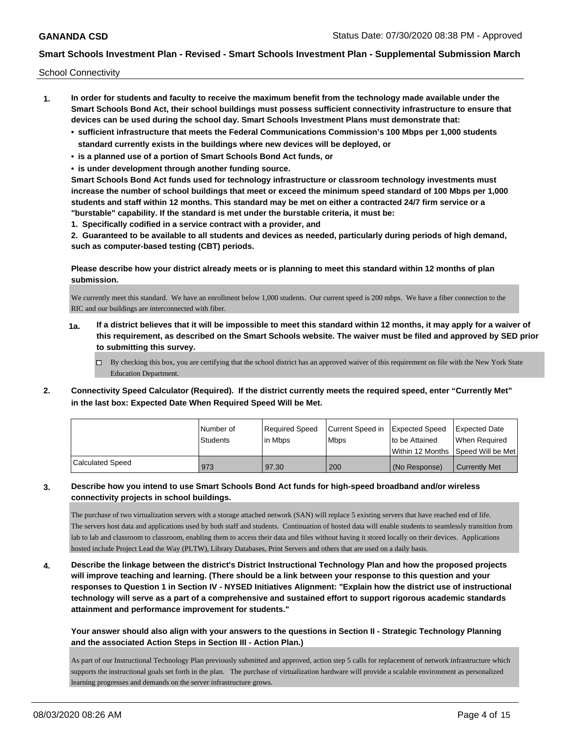School Connectivity

- **1. In order for students and faculty to receive the maximum benefit from the technology made available under the Smart Schools Bond Act, their school buildings must possess sufficient connectivity infrastructure to ensure that devices can be used during the school day. Smart Schools Investment Plans must demonstrate that:**
	- **• sufficient infrastructure that meets the Federal Communications Commission's 100 Mbps per 1,000 students standard currently exists in the buildings where new devices will be deployed, or**
	- **• is a planned use of a portion of Smart Schools Bond Act funds, or**
	- **• is under development through another funding source.**

**Smart Schools Bond Act funds used for technology infrastructure or classroom technology investments must increase the number of school buildings that meet or exceed the minimum speed standard of 100 Mbps per 1,000 students and staff within 12 months. This standard may be met on either a contracted 24/7 firm service or a "burstable" capability. If the standard is met under the burstable criteria, it must be:**

**1. Specifically codified in a service contract with a provider, and**

**2. Guaranteed to be available to all students and devices as needed, particularly during periods of high demand, such as computer-based testing (CBT) periods.**

**Please describe how your district already meets or is planning to meet this standard within 12 months of plan submission.**

We currently meet this standard. We have an enrollment below 1,000 students. Our current speed is 200 mbps. We have a fiber connection to the RIC and our buildings are interconnected with fiber.

- **1a. If a district believes that it will be impossible to meet this standard within 12 months, it may apply for a waiver of this requirement, as described on the Smart Schools website. The waiver must be filed and approved by SED prior to submitting this survey.**
	- $\Box$  By checking this box, you are certifying that the school district has an approved waiver of this requirement on file with the New York State Education Department.
- **2. Connectivity Speed Calculator (Required). If the district currently meets the required speed, enter "Currently Met" in the last box: Expected Date When Required Speed Will be Met.**

|                  | l Number of<br><b>Students</b> | Required Speed<br>lin Mbps | Current Speed in Expected Speed<br><b>Mbps</b> | to be Attained | Expected Date<br>When Required<br>l Within 12 Months ISpeed Will be Met l |
|------------------|--------------------------------|----------------------------|------------------------------------------------|----------------|---------------------------------------------------------------------------|
| Calculated Speed | 973                            | 97.30                      | 200                                            | (No Response)  | Currently Met                                                             |

**3. Describe how you intend to use Smart Schools Bond Act funds for high-speed broadband and/or wireless connectivity projects in school buildings.**

The purchase of two virtualization servers with a storage attached network (SAN) will replace 5 existing servers that have reached end of life. The servers host data and applications used by both staff and students. Continuation of hosted data will enable students to seamlessly transition from lab to lab and classroom to classroom, enabling them to access their data and files without having it stored locally on their devices. Applications hosted include Project Lead the Way (PLTW), Library Databases, Print Servers and others that are used on a daily basis.

**4. Describe the linkage between the district's District Instructional Technology Plan and how the proposed projects will improve teaching and learning. (There should be a link between your response to this question and your responses to Question 1 in Section IV - NYSED Initiatives Alignment: "Explain how the district use of instructional technology will serve as a part of a comprehensive and sustained effort to support rigorous academic standards attainment and performance improvement for students."** 

**Your answer should also align with your answers to the questions in Section II - Strategic Technology Planning and the associated Action Steps in Section III - Action Plan.)**

As part of our Instructional Technology Plan previously submitted and approved, action step 5 calls for replacement of network infrastructure which supports the instructional goals set forth in the plan. The purchase of virtualization hardware will provide a scalable environment as personalized learning progresses and demands on the server infrastructure grows.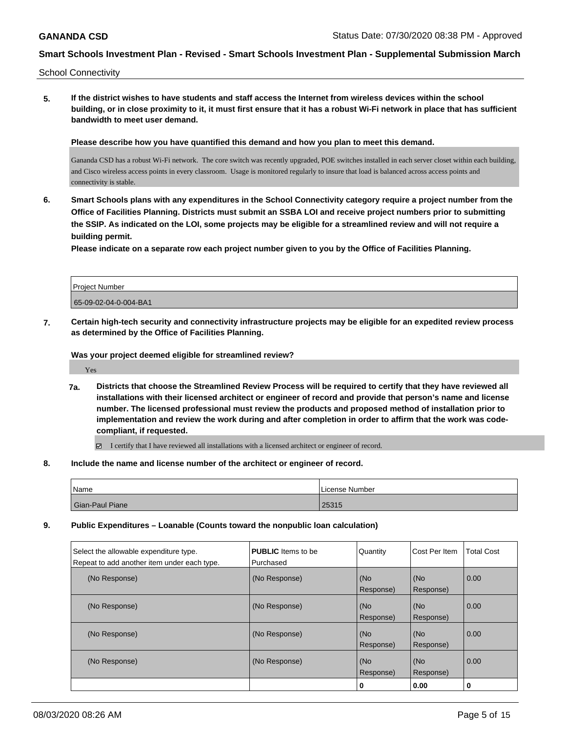School Connectivity

**5. If the district wishes to have students and staff access the Internet from wireless devices within the school building, or in close proximity to it, it must first ensure that it has a robust Wi-Fi network in place that has sufficient bandwidth to meet user demand.**

**Please describe how you have quantified this demand and how you plan to meet this demand.**

Gananda CSD has a robust Wi-Fi network. The core switch was recently upgraded, POE switches installed in each server closet within each building, and Cisco wireless access points in every classroom. Usage is monitored regularly to insure that load is balanced across access points and connectivity is stable.

**6. Smart Schools plans with any expenditures in the School Connectivity category require a project number from the Office of Facilities Planning. Districts must submit an SSBA LOI and receive project numbers prior to submitting the SSIP. As indicated on the LOI, some projects may be eligible for a streamlined review and will not require a building permit.**

**Please indicate on a separate row each project number given to you by the Office of Facilities Planning.**

| <b>Project Number</b> |  |
|-----------------------|--|
| 65-09-02-04-0-004-BA1 |  |
|                       |  |

**7. Certain high-tech security and connectivity infrastructure projects may be eligible for an expedited review process as determined by the Office of Facilities Planning.**

**Was your project deemed eligible for streamlined review?**

Yes

**7a. Districts that choose the Streamlined Review Process will be required to certify that they have reviewed all installations with their licensed architect or engineer of record and provide that person's name and license number. The licensed professional must review the products and proposed method of installation prior to implementation and review the work during and after completion in order to affirm that the work was codecompliant, if requested.**

I certify that I have reviewed all installations with a licensed architect or engineer of record.

**8. Include the name and license number of the architect or engineer of record.**

| Name            | License Number |
|-----------------|----------------|
| Gian-Paul Piane | 25315          |

**9. Public Expenditures – Loanable (Counts toward the nonpublic loan calculation)**

| Select the allowable expenditure type.<br>Repeat to add another item under each type. | <b>PUBLIC</b> Items to be<br>Purchased | Quantity         | <b>ICost Per Item</b> | Total Cost |
|---------------------------------------------------------------------------------------|----------------------------------------|------------------|-----------------------|------------|
| (No Response)                                                                         | (No Response)                          | (No<br>Response) | (No<br>Response)      | 0.00       |
| (No Response)                                                                         | (No Response)                          | (No<br>Response) | (No<br>Response)      | 0.00       |
| (No Response)                                                                         | (No Response)                          | (No<br>Response) | (No<br>Response)      | 0.00       |
| (No Response)                                                                         | (No Response)                          | (No<br>Response) | (No<br>Response)      | 0.00       |
|                                                                                       |                                        | 0                | 0.00                  | 0          |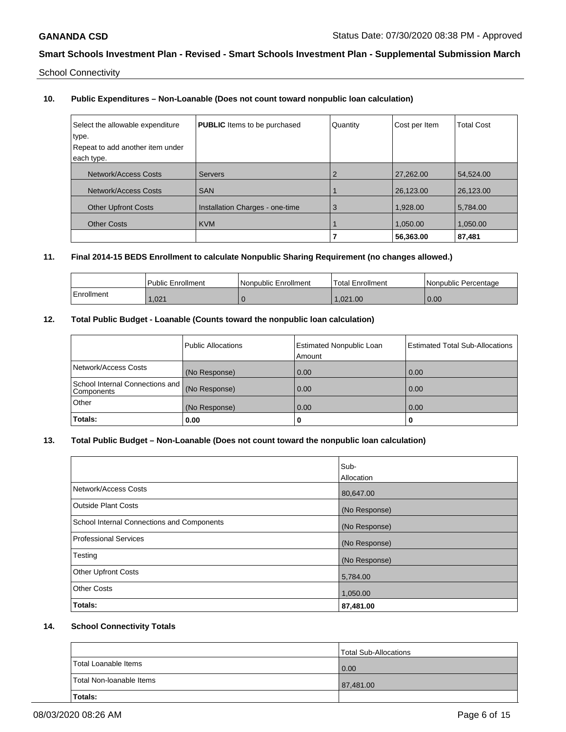School Connectivity

## **10. Public Expenditures – Non-Loanable (Does not count toward nonpublic loan calculation)**

| Select the allowable expenditure<br>type.<br>Repeat to add another item under<br>each type. | <b>PUBLIC</b> Items to be purchased | Quantity | Cost per Item | <b>Total Cost</b> |
|---------------------------------------------------------------------------------------------|-------------------------------------|----------|---------------|-------------------|
| Network/Access Costs                                                                        | <b>Servers</b>                      | 2        | 27,262.00     | 54.524.00         |
| Network/Access Costs                                                                        | <b>SAN</b>                          |          | 26.123.00     | 26.123.00         |
| <b>Other Upfront Costs</b>                                                                  | Installation Charges - one-time     | 3        | 1.928.00      | 5,784.00          |
| <b>Other Costs</b>                                                                          | <b>KVM</b>                          |          | 1,050.00      | 1,050.00          |
|                                                                                             |                                     |          | 56,363.00     | 87,481            |

# **11. Final 2014-15 BEDS Enrollment to calculate Nonpublic Sharing Requirement (no changes allowed.)**

|            | Public Enrollment | l Nonpublic Enrollment | Total Enrollment | I Nonpublic Percentage |
|------------|-------------------|------------------------|------------------|------------------------|
| Enrollment | .021              |                        | 1.021.00         | 0.00                   |

## **12. Total Public Budget - Loanable (Counts toward the nonpublic loan calculation)**

|                                                 | Public Allocations | <b>Estimated Nonpublic Loan</b><br>Amount | <b>Estimated Total Sub-Allocations</b> |
|-------------------------------------------------|--------------------|-------------------------------------------|----------------------------------------|
| Network/Access Costs                            | (No Response)      | 0.00                                      | 0.00                                   |
| School Internal Connections and  <br>Components | (No Response)      | 0.00                                      | 0.00                                   |
| Other                                           | (No Response)      | 0.00                                      | 0.00                                   |
| Totals:                                         | 0.00               | u                                         |                                        |

# **13. Total Public Budget – Non-Loanable (Does not count toward the nonpublic loan calculation)**

|                                            | lSub-<br>Allocation |
|--------------------------------------------|---------------------|
| Network/Access Costs                       | 80,647.00           |
| <b>Outside Plant Costs</b>                 | (No Response)       |
| School Internal Connections and Components | (No Response)       |
| <b>Professional Services</b>               | (No Response)       |
| Testing                                    | (No Response)       |
| <b>Other Upfront Costs</b>                 | 5,784.00            |
| <b>Other Costs</b>                         | 1,050.00            |
| Totals:                                    | 87,481.00           |

## **14. School Connectivity Totals**

|                          | Total Sub-Allocations |
|--------------------------|-----------------------|
| Total Loanable Items     | 0.00                  |
| Total Non-Ioanable Items | 87,481.00             |
| Totals:                  |                       |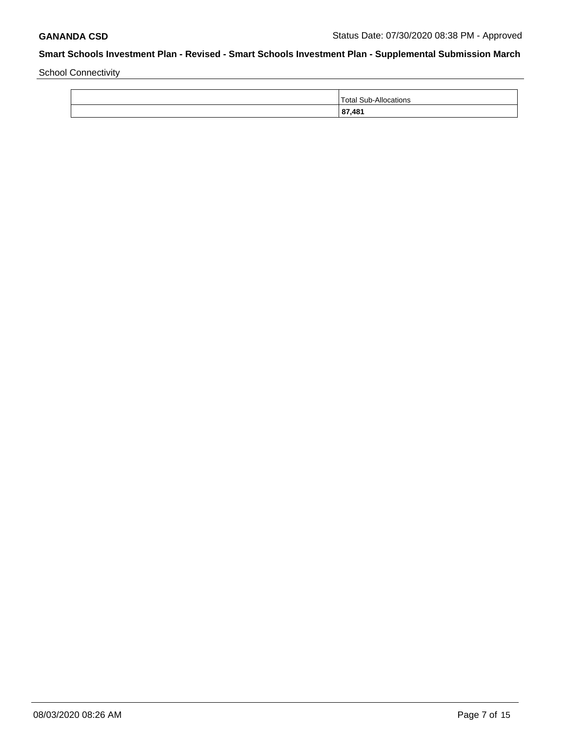School Connectivity

| 87,481                           |
|----------------------------------|
| Total Sub.<br>- A II<br>ocations |
|                                  |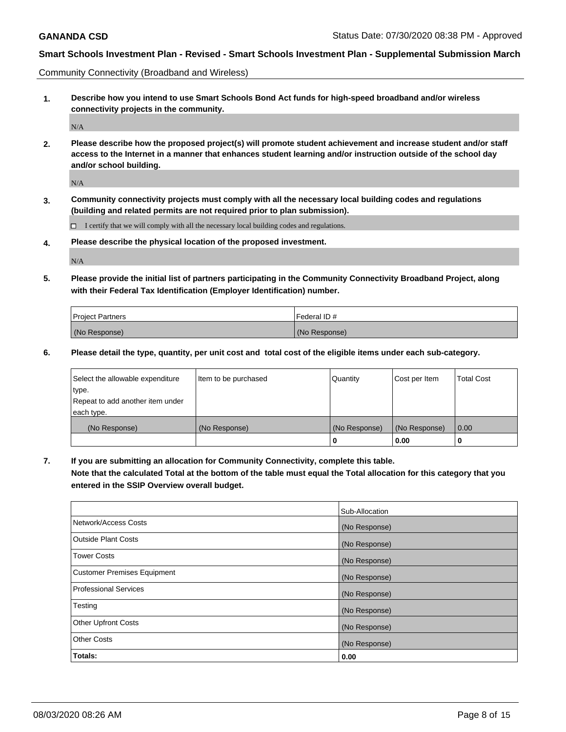Community Connectivity (Broadband and Wireless)

**1. Describe how you intend to use Smart Schools Bond Act funds for high-speed broadband and/or wireless connectivity projects in the community.**

 $\rm N/A$ 

**2. Please describe how the proposed project(s) will promote student achievement and increase student and/or staff access to the Internet in a manner that enhances student learning and/or instruction outside of the school day and/or school building.**

N/A

**3. Community connectivity projects must comply with all the necessary local building codes and regulations (building and related permits are not required prior to plan submission).**

 $\Box$  I certify that we will comply with all the necessary local building codes and regulations.

**4. Please describe the physical location of the proposed investment.**

N/A

**5. Please provide the initial list of partners participating in the Community Connectivity Broadband Project, along with their Federal Tax Identification (Employer Identification) number.**

| <b>Project Partners</b> | l Federal ID # |
|-------------------------|----------------|
| (No Response)           | (No Response)  |

**6. Please detail the type, quantity, per unit cost and total cost of the eligible items under each sub-category.**

| Select the allowable expenditure | Item to be purchased | Quantity      | Cost per Item | <b>Total Cost</b> |
|----------------------------------|----------------------|---------------|---------------|-------------------|
| type.                            |                      |               |               |                   |
| Repeat to add another item under |                      |               |               |                   |
| each type.                       |                      |               |               |                   |
| (No Response)                    | (No Response)        | (No Response) | (No Response) | 0.00              |
|                                  |                      | U             | 0.00          |                   |

**7. If you are submitting an allocation for Community Connectivity, complete this table.**

**Note that the calculated Total at the bottom of the table must equal the Total allocation for this category that you entered in the SSIP Overview overall budget.**

|                                    | Sub-Allocation |
|------------------------------------|----------------|
| Network/Access Costs               | (No Response)  |
| Outside Plant Costs                | (No Response)  |
| <b>Tower Costs</b>                 | (No Response)  |
| <b>Customer Premises Equipment</b> | (No Response)  |
| <b>Professional Services</b>       | (No Response)  |
| Testing                            | (No Response)  |
| <b>Other Upfront Costs</b>         | (No Response)  |
| <b>Other Costs</b>                 | (No Response)  |
| Totals:                            | 0.00           |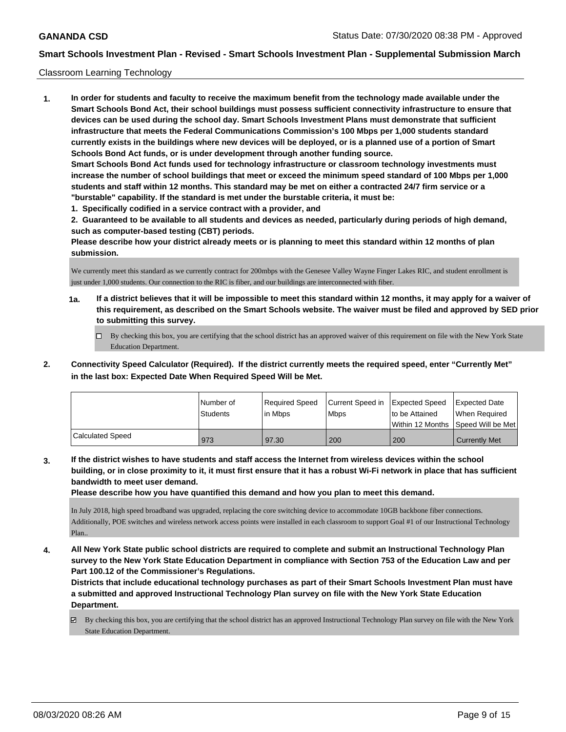### Classroom Learning Technology

**1. In order for students and faculty to receive the maximum benefit from the technology made available under the Smart Schools Bond Act, their school buildings must possess sufficient connectivity infrastructure to ensure that devices can be used during the school day. Smart Schools Investment Plans must demonstrate that sufficient infrastructure that meets the Federal Communications Commission's 100 Mbps per 1,000 students standard currently exists in the buildings where new devices will be deployed, or is a planned use of a portion of Smart Schools Bond Act funds, or is under development through another funding source. Smart Schools Bond Act funds used for technology infrastructure or classroom technology investments must increase the number of school buildings that meet or exceed the minimum speed standard of 100 Mbps per 1,000 students and staff within 12 months. This standard may be met on either a contracted 24/7 firm service or a "burstable" capability. If the standard is met under the burstable criteria, it must be:**

**1. Specifically codified in a service contract with a provider, and**

**2. Guaranteed to be available to all students and devices as needed, particularly during periods of high demand, such as computer-based testing (CBT) periods.**

**Please describe how your district already meets or is planning to meet this standard within 12 months of plan submission.**

We currently meet this standard as we currently contract for 200mbps with the Genesee Valley Wayne Finger Lakes RIC, and student enrollment is just under 1,000 students. Our connection to the RIC is fiber, and our buildings are interconnected with fiber.

- **1a. If a district believes that it will be impossible to meet this standard within 12 months, it may apply for a waiver of this requirement, as described on the Smart Schools website. The waiver must be filed and approved by SED prior to submitting this survey.**
	- By checking this box, you are certifying that the school district has an approved waiver of this requirement on file with the New York State Education Department.
- **2. Connectivity Speed Calculator (Required). If the district currently meets the required speed, enter "Currently Met" in the last box: Expected Date When Required Speed Will be Met.**

|                  | l Number of<br>Students | Required Speed<br>l in Mbps | Current Speed in<br>Mbps | <b>Expected Speed</b><br>to be Attained | <b>Expected Date</b><br>When Required<br>Within 12 Months 1Speed Will be Met1 |
|------------------|-------------------------|-----------------------------|--------------------------|-----------------------------------------|-------------------------------------------------------------------------------|
| Calculated Speed | 973                     | 97.30                       | 200                      | 200                                     | <b>Currently Met</b>                                                          |

**3. If the district wishes to have students and staff access the Internet from wireless devices within the school building, or in close proximity to it, it must first ensure that it has a robust Wi-Fi network in place that has sufficient bandwidth to meet user demand.**

**Please describe how you have quantified this demand and how you plan to meet this demand.**

In July 2018, high speed broadband was upgraded, replacing the core switching device to accommodate 10GB backbone fiber connections. Additionally, POE switches and wireless network access points were installed in each classroom to support Goal #1 of our Instructional Technology Plan..

**4. All New York State public school districts are required to complete and submit an Instructional Technology Plan survey to the New York State Education Department in compliance with Section 753 of the Education Law and per Part 100.12 of the Commissioner's Regulations.**

**Districts that include educational technology purchases as part of their Smart Schools Investment Plan must have a submitted and approved Instructional Technology Plan survey on file with the New York State Education Department.**

 $\boxtimes$  By checking this box, you are certifying that the school district has an approved Instructional Technology Plan survey on file with the New York State Education Department.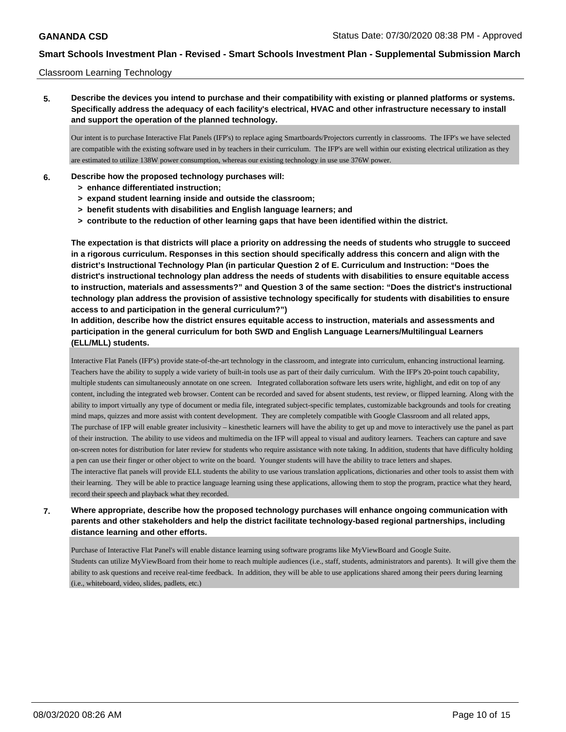### Classroom Learning Technology

**5. Describe the devices you intend to purchase and their compatibility with existing or planned platforms or systems. Specifically address the adequacy of each facility's electrical, HVAC and other infrastructure necessary to install and support the operation of the planned technology.**

Our intent is to purchase Interactive Flat Panels (IFP's) to replace aging Smartboards/Projectors currently in classrooms. The IFP's we have selected are compatible with the existing software used in by teachers in their curriculum. The IFP's are well within our existing electrical utilization as they are estimated to utilize 138W power consumption, whereas our existing technology in use use 376W power.

- **6. Describe how the proposed technology purchases will:**
	- **> enhance differentiated instruction;**
	- **> expand student learning inside and outside the classroom;**
	- **> benefit students with disabilities and English language learners; and**
	- **> contribute to the reduction of other learning gaps that have been identified within the district.**

**The expectation is that districts will place a priority on addressing the needs of students who struggle to succeed in a rigorous curriculum. Responses in this section should specifically address this concern and align with the district's Instructional Technology Plan (in particular Question 2 of E. Curriculum and Instruction: "Does the district's instructional technology plan address the needs of students with disabilities to ensure equitable access to instruction, materials and assessments?" and Question 3 of the same section: "Does the district's instructional technology plan address the provision of assistive technology specifically for students with disabilities to ensure access to and participation in the general curriculum?")**

**In addition, describe how the district ensures equitable access to instruction, materials and assessments and participation in the general curriculum for both SWD and English Language Learners/Multilingual Learners (ELL/MLL) students.**

Interactive Flat Panels (IFP's) provide state-of-the-art technology in the classroom, and integrate into curriculum, enhancing instructional learning. Teachers have the ability to supply a wide variety of built-in tools use as part of their daily curriculum. With the IFP's 20-point touch capability, multiple students can simultaneously annotate on one screen. Integrated collaboration software lets users write, highlight, and edit on top of any content, including the integrated web browser. Content can be recorded and saved for absent students, test review, or flipped learning. Along with the ability to import virtually any type of document or media file, integrated subject-specific templates, customizable backgrounds and tools for creating mind maps, quizzes and more assist with content development. They are completely compatible with Google Classroom and all related apps, The purchase of IFP will enable greater inclusivity – kinesthetic learners will have the ability to get up and move to interactively use the panel as part of their instruction. The ability to use videos and multimedia on the IFP will appeal to visual and auditory learners. Teachers can capture and save on-screen notes for distribution for later review for students who require assistance with note taking. In addition, students that have difficulty holding a pen can use their finger or other object to write on the board. Younger students will have the ability to trace letters and shapes. The interactive flat panels will provide ELL students the ability to use various translation applications, dictionaries and other tools to assist them with their learning. They will be able to practice language learning using these applications, allowing them to stop the program, practice what they heard, record their speech and playback what they recorded.

## **7. Where appropriate, describe how the proposed technology purchases will enhance ongoing communication with parents and other stakeholders and help the district facilitate technology-based regional partnerships, including distance learning and other efforts.**

Purchase of Interactive Flat Panel's will enable distance learning using software programs like MyViewBoard and Google Suite. Students can utilize MyViewBoard from their home to reach multiple audiences (i.e., staff, students, administrators and parents). It will give them the ability to ask questions and receive real-time feedback. In addition, they will be able to use applications shared among their peers during learning (i.e., whiteboard, video, slides, padlets, etc.)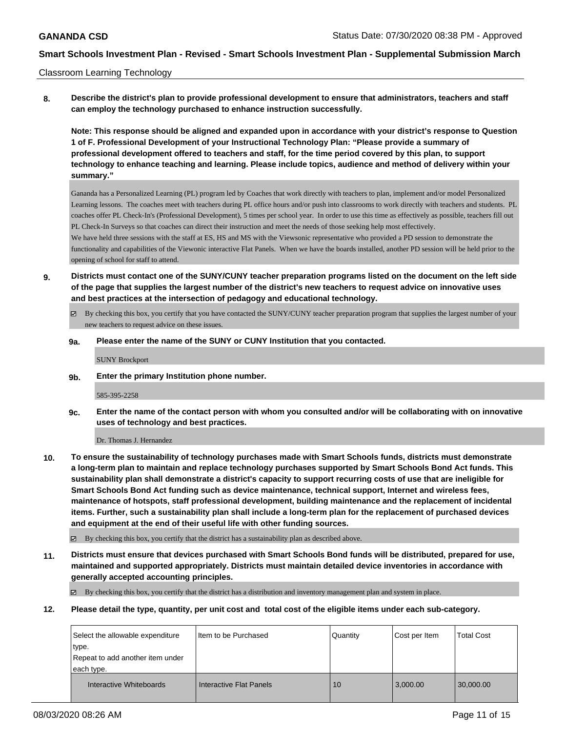### Classroom Learning Technology

**8. Describe the district's plan to provide professional development to ensure that administrators, teachers and staff can employ the technology purchased to enhance instruction successfully.**

**Note: This response should be aligned and expanded upon in accordance with your district's response to Question 1 of F. Professional Development of your Instructional Technology Plan: "Please provide a summary of professional development offered to teachers and staff, for the time period covered by this plan, to support technology to enhance teaching and learning. Please include topics, audience and method of delivery within your summary."**

Gananda has a Personalized Learning (PL) program led by Coaches that work directly with teachers to plan, implement and/or model Personalized Learning lessons. The coaches meet with teachers during PL office hours and/or push into classrooms to work directly with teachers and students. PL coaches offer PL Check-In's (Professional Development), 5 times per school year. In order to use this time as effectively as possible, teachers fill out PL Check-In Surveys so that coaches can direct their instruction and meet the needs of those seeking help most effectively. We have held three sessions with the staff at ES, HS and MS with the Viewsonic representative who provided a PD session to demonstrate the functionality and capabilities of the Viewonic interactive Flat Panels. When we have the boards installed, another PD session will be held prior to the opening of school for staff to attend.

- **9. Districts must contact one of the SUNY/CUNY teacher preparation programs listed on the document on the left side of the page that supplies the largest number of the district's new teachers to request advice on innovative uses and best practices at the intersection of pedagogy and educational technology.**
	- By checking this box, you certify that you have contacted the SUNY/CUNY teacher preparation program that supplies the largest number of your new teachers to request advice on these issues.

## **9a. Please enter the name of the SUNY or CUNY Institution that you contacted.**

SUNY Brockport

**9b. Enter the primary Institution phone number.**

### 585-395-2258

**9c. Enter the name of the contact person with whom you consulted and/or will be collaborating with on innovative uses of technology and best practices.**

Dr. Thomas J. Hernandez

**10. To ensure the sustainability of technology purchases made with Smart Schools funds, districts must demonstrate a long-term plan to maintain and replace technology purchases supported by Smart Schools Bond Act funds. This sustainability plan shall demonstrate a district's capacity to support recurring costs of use that are ineligible for Smart Schools Bond Act funding such as device maintenance, technical support, Internet and wireless fees, maintenance of hotspots, staff professional development, building maintenance and the replacement of incidental items. Further, such a sustainability plan shall include a long-term plan for the replacement of purchased devices and equipment at the end of their useful life with other funding sources.**

By checking this box, you certify that the district has a sustainability plan as described above.

**11. Districts must ensure that devices purchased with Smart Schools Bond funds will be distributed, prepared for use, maintained and supported appropriately. Districts must maintain detailed device inventories in accordance with generally accepted accounting principles.**

By checking this box, you certify that the district has a distribution and inventory management plan and system in place.

**12. Please detail the type, quantity, per unit cost and total cost of the eligible items under each sub-category.**

| Select the allowable expenditure | I Item to be Purchased  | Quantity | Cost per Item | <b>Total Cost</b> |
|----------------------------------|-------------------------|----------|---------------|-------------------|
| type.                            |                         |          |               |                   |
| Repeat to add another item under |                         |          |               |                   |
| each type.                       |                         |          |               |                   |
| Interactive Whiteboards          | Interactive Flat Panels | 10       | 3,000.00      | 30,000.00         |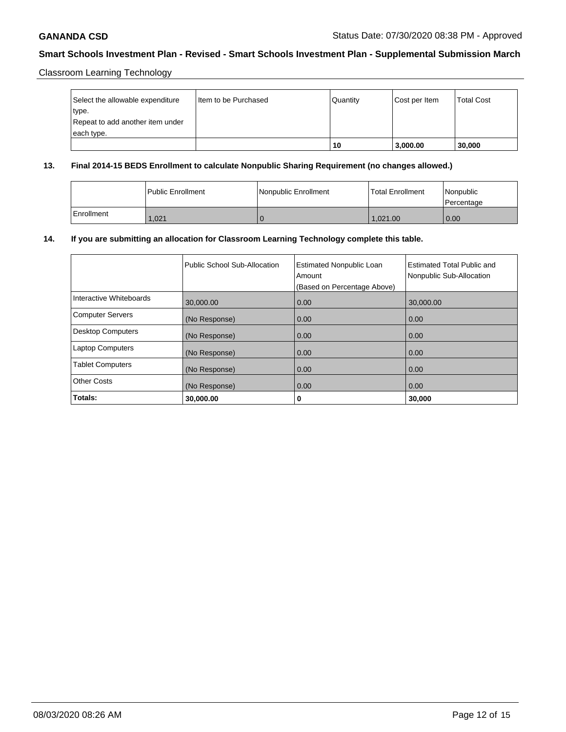Classroom Learning Technology

| Select the allowable expenditure | I Item to be Purchased | Quantity | Cost per Item | <b>Total Cost</b> |
|----------------------------------|------------------------|----------|---------------|-------------------|
| type.                            |                        |          |               |                   |
| Repeat to add another item under |                        |          |               |                   |
| each type.                       |                        |          |               |                   |
|                                  |                        | 10       | 3,000.00      | 30,000            |

## **13. Final 2014-15 BEDS Enrollment to calculate Nonpublic Sharing Requirement (no changes allowed.)**

|            | l Public Enrollment | Nonpublic Enrollment | <b>Total Enrollment</b> | <i><b>Nonpublic</b></i><br>Percentage |
|------------|---------------------|----------------------|-------------------------|---------------------------------------|
| Enrollment | .021                |                      | 1.021.00                | 0.00                                  |

## **14. If you are submitting an allocation for Classroom Learning Technology complete this table.**

|                         | Public School Sub-Allocation | <b>Estimated Nonpublic Loan</b><br>Amount<br>(Based on Percentage Above) | Estimated Total Public and<br>Nonpublic Sub-Allocation |
|-------------------------|------------------------------|--------------------------------------------------------------------------|--------------------------------------------------------|
| Interactive Whiteboards | 30,000.00                    | 0.00                                                                     | 30,000.00                                              |
| <b>Computer Servers</b> | (No Response)                | 0.00                                                                     | 0.00                                                   |
| Desktop Computers       | (No Response)                | 0.00                                                                     | 0.00                                                   |
| <b>Laptop Computers</b> | (No Response)                | 0.00                                                                     | 0.00                                                   |
| <b>Tablet Computers</b> | (No Response)                | 0.00                                                                     | 0.00                                                   |
| <b>Other Costs</b>      | (No Response)                | 0.00                                                                     | 0.00                                                   |
| Totals:                 | 30,000.00                    | 0                                                                        | 30,000                                                 |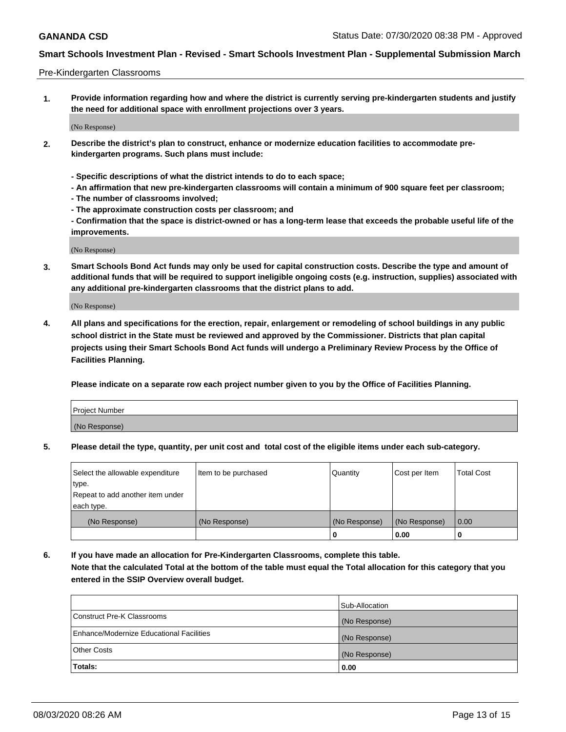### Pre-Kindergarten Classrooms

**1. Provide information regarding how and where the district is currently serving pre-kindergarten students and justify the need for additional space with enrollment projections over 3 years.**

(No Response)

- **2. Describe the district's plan to construct, enhance or modernize education facilities to accommodate prekindergarten programs. Such plans must include:**
	- **Specific descriptions of what the district intends to do to each space;**
	- **An affirmation that new pre-kindergarten classrooms will contain a minimum of 900 square feet per classroom;**
	- **The number of classrooms involved;**
	- **The approximate construction costs per classroom; and**
	- **Confirmation that the space is district-owned or has a long-term lease that exceeds the probable useful life of the improvements.**

(No Response)

**3. Smart Schools Bond Act funds may only be used for capital construction costs. Describe the type and amount of additional funds that will be required to support ineligible ongoing costs (e.g. instruction, supplies) associated with any additional pre-kindergarten classrooms that the district plans to add.**

(No Response)

**4. All plans and specifications for the erection, repair, enlargement or remodeling of school buildings in any public school district in the State must be reviewed and approved by the Commissioner. Districts that plan capital projects using their Smart Schools Bond Act funds will undergo a Preliminary Review Process by the Office of Facilities Planning.**

**Please indicate on a separate row each project number given to you by the Office of Facilities Planning.**

| Project Number |  |
|----------------|--|
| (No Response)  |  |
|                |  |

**5. Please detail the type, quantity, per unit cost and total cost of the eligible items under each sub-category.**

| Select the allowable expenditure | Item to be purchased | Quantity      | Cost per Item | <b>Total Cost</b> |
|----------------------------------|----------------------|---------------|---------------|-------------------|
| type.                            |                      |               |               |                   |
| Repeat to add another item under |                      |               |               |                   |
| each type.                       |                      |               |               |                   |
| (No Response)                    | (No Response)        | (No Response) | (No Response) | 0.00              |
|                                  |                      | U             | 0.00          |                   |

**6. If you have made an allocation for Pre-Kindergarten Classrooms, complete this table. Note that the calculated Total at the bottom of the table must equal the Total allocation for this category that you entered in the SSIP Overview overall budget.**

| Totals:                                  | 0.00           |
|------------------------------------------|----------------|
| <b>Other Costs</b>                       | (No Response)  |
| Enhance/Modernize Educational Facilities | (No Response)  |
| Construct Pre-K Classrooms               | (No Response)  |
|                                          | Sub-Allocation |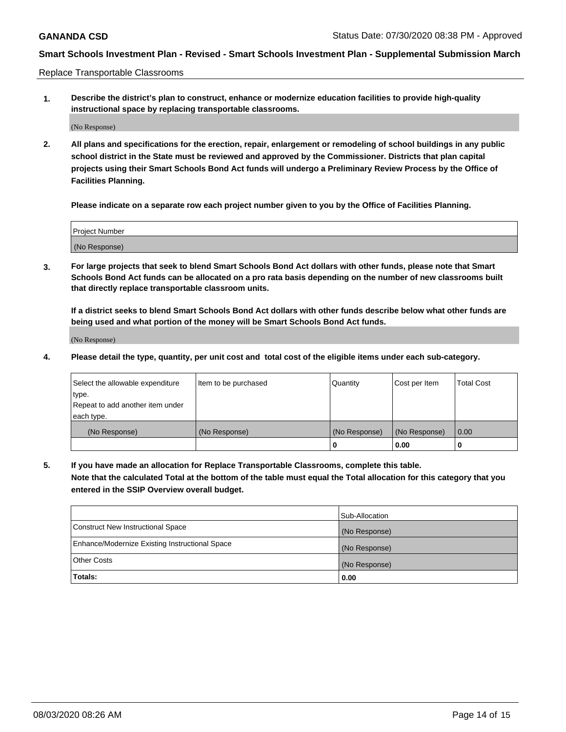Replace Transportable Classrooms

**1. Describe the district's plan to construct, enhance or modernize education facilities to provide high-quality instructional space by replacing transportable classrooms.**

(No Response)

**2. All plans and specifications for the erection, repair, enlargement or remodeling of school buildings in any public school district in the State must be reviewed and approved by the Commissioner. Districts that plan capital projects using their Smart Schools Bond Act funds will undergo a Preliminary Review Process by the Office of Facilities Planning.**

**Please indicate on a separate row each project number given to you by the Office of Facilities Planning.**

| Project Number |  |
|----------------|--|
|                |  |
|                |  |
|                |  |
| (No Response)  |  |
|                |  |
|                |  |

**3. For large projects that seek to blend Smart Schools Bond Act dollars with other funds, please note that Smart Schools Bond Act funds can be allocated on a pro rata basis depending on the number of new classrooms built that directly replace transportable classroom units.**

**If a district seeks to blend Smart Schools Bond Act dollars with other funds describe below what other funds are being used and what portion of the money will be Smart Schools Bond Act funds.**

(No Response)

**4. Please detail the type, quantity, per unit cost and total cost of the eligible items under each sub-category.**

| Select the allowable expenditure | Item to be purchased | Quantity      | Cost per Item | Total Cost |
|----------------------------------|----------------------|---------------|---------------|------------|
| ∣type.                           |                      |               |               |            |
| Repeat to add another item under |                      |               |               |            |
| each type.                       |                      |               |               |            |
| (No Response)                    | (No Response)        | (No Response) | (No Response) | 0.00       |
|                                  |                      | u             | 0.00          |            |

**5. If you have made an allocation for Replace Transportable Classrooms, complete this table. Note that the calculated Total at the bottom of the table must equal the Total allocation for this category that you entered in the SSIP Overview overall budget.**

|                                                | Sub-Allocation |
|------------------------------------------------|----------------|
| Construct New Instructional Space              | (No Response)  |
| Enhance/Modernize Existing Instructional Space | (No Response)  |
| <b>Other Costs</b>                             | (No Response)  |
| Totals:                                        | 0.00           |